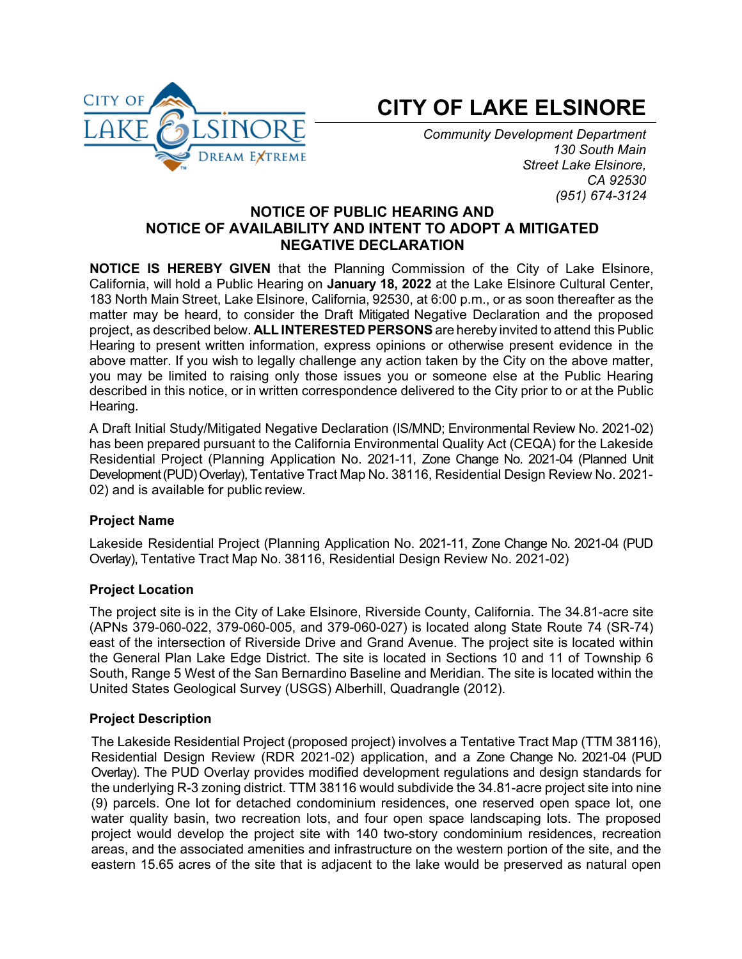

# **CITY OF LAKE ELSINORE**

*Community Development Department 130 South Main Street Lake Elsinore, CA 92530 (951) 674-3124*

## **NOTICE OF PUBLIC HEARING AND NOTICE OF AVAILABILITY AND INTENT TO ADOPT A MITIGATED NEGATIVE DECLARATION**

**NOTICE IS HEREBY GIVEN** that the Planning Commission of the City of Lake Elsinore, California, will hold a Public Hearing on **January 18, 2022** at the Lake Elsinore Cultural Center, 183 North Main Street, Lake Elsinore, California, 92530, at 6:00 p.m., or as soon thereafter as the matter may be heard, to consider the Draft Mitigated Negative Declaration and the proposed project, as described below. **ALL INTERESTED PERSONS** are hereby invited to attend this Public Hearing to present written information, express opinions or otherwise present evidence in the above matter. If you wish to legally challenge any action taken by the City on the above matter, you may be limited to raising only those issues you or someone else at the Public Hearing described in this notice, or in written correspondence delivered to the City prior to or at the Public Hearing.

A Draft Initial Study/Mitigated Negative Declaration (IS/MND; Environmental Review No. 2021-02) has been prepared pursuant to the California Environmental Quality Act (CEQA) for the Lakeside Residential Project (Planning Application No. 2021-11, Zone Change No. 2021-04 (Planned Unit Development (PUD) Overlay), Tentative Tract Map No. 38116, Residential Design Review No. 2021-02) and is available for public review.

## **Project Name**

Lakeside Residential Project (Planning Application No. 2021-11, Zone Change No. 2021-04 (PUD Overlay), Tentative Tract Map No. 38116, Residential Design Review No. 2021-02)

#### **Project Location**

The project site is in the City of Lake Elsinore, Riverside County, California. The 34.81-acre site (APNs 379-060-022, 379-060-005, and 379-060-027) is located along State Route 74 (SR-74) east of the intersection of Riverside Drive and Grand Avenue. The project site is located within the General Plan Lake Edge District. The site is located in Sections 10 and 11 of Township 6 South, Range 5 West of the San Bernardino Baseline and Meridian. The site is located within the United States Geological Survey (USGS) Alberhill, Quadrangle (2012).

#### **Project Description**

The Lakeside Residential Project (proposed project) involves a Tentative Tract Map (TTM 38116), Residential Design Review (RDR 2021-02) application, and a Zone Change No. 2021-04 (PUD Overlay). The PUD Overlay provides modified development regulations and design standards for the underlying R-3 zoning district. TTM 38116 would subdivide the 34.81-acre project site into nine (9) parcels. One lot for detached condominium residences, one reserved open space lot, one water quality basin, two recreation lots, and four open space landscaping lots. The proposed project would develop the project site with 140 two-story condominium residences, recreation areas, and the associated amenities and infrastructure on the western portion of the site, and the eastern 15.65 acres of the site that is adjacent to the lake would be preserved as natural open